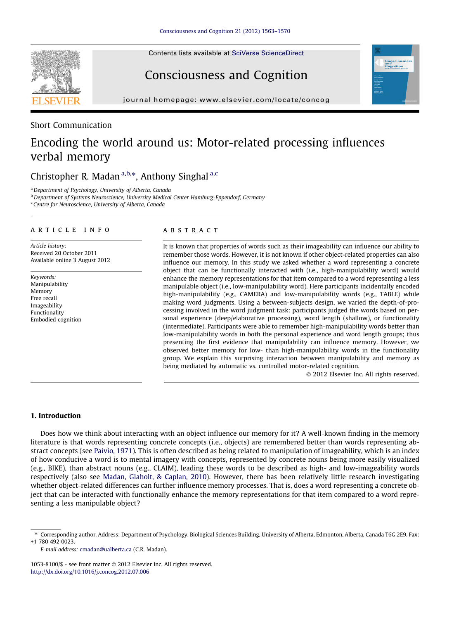Contents lists available at [SciVerse ScienceDirect](http://www.sciencedirect.com/science/journal/10538100)

# Consciousness and Cognition

journal homepage: [www.elsevier.com/locate/concog](http://www.elsevier.com/locate/concog)

# Short Communication

# Encoding the world around us: Motor-related processing influences verbal memory

Christopher R. Madan <sup>a,b,\*</sup>, Anthony Singhal <sup>a,c</sup>

<sup>a</sup> Department of Psychology, University of Alberta, Canada

**b** Department of Systems Neuroscience, University Medical Center Hamburg-Eppendorf, Germany

<sup>c</sup> Centre for Neuroscience, University of Alberta, Canada

### article info

Article history: Received 20 October 2011 Available online 3 August 2012

Keywords: Manipulability Memory Free recall Imageability Functionality Embodied cognition

#### **ARSTRACT**

It is known that properties of words such as their imageability can influence our ability to remember those words. However, it is not known if other object-related properties can also influence our memory. In this study we asked whether a word representing a concrete object that can be functionally interacted with (i.e., high-manipulability word) would enhance the memory representations for that item compared to a word representing a less manipulable object (i.e., low-manipulability word). Here participants incidentally encoded high-manipulability (e.g., CAMERA) and low-manipulability words (e.g., TABLE) while making word judgments. Using a between-subjects design, we varied the depth-of-processing involved in the word judgment task: participants judged the words based on personal experience (deep/elaborative processing), word length (shallow), or functionality (intermediate). Participants were able to remember high-manipulability words better than low-manipulability words in both the personal experience and word length groups; thus presenting the first evidence that manipulability can influence memory. However, we observed better memory for low- than high-manipulability words in the functionality group. We explain this surprising interaction between manipulability and memory as being mediated by automatic vs. controlled motor-related cognition.

- 2012 Elsevier Inc. All rights reserved.

### 1. Introduction

Does how we think about interacting with an object influence our memory for it? A well-known finding in the memory literature is that words representing concrete concepts (i.e., objects) are remembered better than words representing abstract concepts (see [Paivio, 1971\)](#page-7-0). This is often described as being related to manipulation of imageability, which is an index of how conducive a word is to mental imagery with concepts, represented by concrete nouns being more easily visualized (e.g., BIKE), than abstract nouns (e.g., CLAIM), leading these words to be described as high- and low-imageability words respectively (also see [Madan, Glaholt, & Caplan, 2010\)](#page-7-0). However, there has been relatively little research investigating whether object-related differences can further influence memory processes. That is, does a word representing a concrete object that can be interacted with functionally enhance the memory representations for that item compared to a word representing a less manipulable object?

E-mail address: [cmadan@ualberta.ca](mailto:cmadan@ualberta.ca) (C.R. Madan).

 $1053-8100$ /\$ - see front matter  $\odot$  2012 Elsevier Inc. All rights reserved. <http://dx.doi.org/10.1016/j.concog.2012.07.006>





<sup>⇑</sup> Corresponding author. Address: Department of Psychology, Biological Sciences Building, University of Alberta, Edmonton, Alberta, Canada T6G 2E9. Fax: +1 780 492 0023.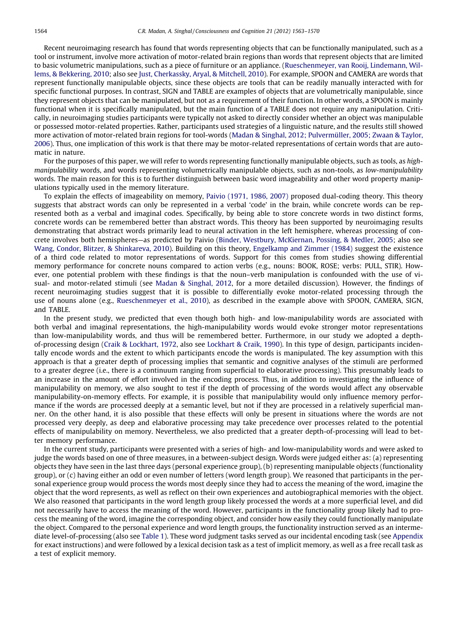Recent neuroimaging research has found that words representing objects that can be functionally manipulated, such as a tool or instrument, involve more activation of motor-related brain regions than words that represent objects that are limited to basic volumetric manipulations, such as a piece of furniture or an appliance. ([Rueschenmeyer, van Rooij, Lindemann, Wil](#page-7-0)[lems, & Bekkering, 2010;](#page-7-0) also see [Just, Cherkassky, Aryal, & Mitchell, 2010\)](#page-7-0). For example, SPOON and CAMERA are words that represent functionally manipulable objects, since these objects are tools that can be readily manually interacted with for specific functional purposes. In contrast, SIGN and TABLE are examples of objects that are volumetrically manipulable, since they represent objects that can be manipulated, but not as a requirement of their function. In other words, a SPOON is mainly functional when it is specifically manipulated, but the main function of a TABLE does not require any manipulation. Critically, in neuroimaging studies participants were typically not asked to directly consider whether an object was manipulable or possessed motor-related properties. Rather, participants used strategies of a linguistic nature, and the results still showed more activation of motor-related brain regions for tool-words [\(Madan & Singhal, 2012; Pulvermüller, 2005; Zwaan & Taylor,](#page-7-0) [2006](#page-7-0)). Thus, one implication of this work is that there may be motor-related representations of certain words that are automatic in nature.

For the purposes of this paper, we will refer to words representing functionally manipulable objects, such as tools, as highmanipulability words, and words representing volumetrically manipulable objects, such as non-tools, as low-manipulability words. The main reason for this is to further distinguish between basic word imageability and other word property manipulations typically used in the memory literature.

To explain the effects of imageability on memory, [Paivio \(1971, 1986, 2007\)](#page-7-0) proposed dual-coding theory. This theory suggests that abstract words can only be represented in a verbal 'code' in the brain, while concrete words can be represented both as a verbal and imaginal codes. Specifically, by being able to store concrete words in two distinct forms, concrete words can be remembered better than abstract words. This theory has been supported by neuroimaging results demonstrating that abstract words primarily lead to neural activation in the left hemisphere, whereas processing of concrete involves both hemispheres—as predicted by Paivio [\(Binder, Westbury, McKiernan, Possing, & Medler, 2005;](#page-6-0) also see [Wang, Condor, Blitzer, & Shinkareva, 2010\)](#page-7-0). Building on this theory, [Engelkamp and Zimmer \(1984\)](#page-7-0) suggest the existence of a third code related to motor representations of words. Support for this comes from studies showing differential memory performance for concrete nouns compared to action verbs (e.g., nouns: BOOK, ROSE; verbs: PULL, STIR). However, one potential problem with these findings is that the noun–verb manipulation is confounded with the use of visual- and motor-related stimuli (see Madan & Singhal, 2012, for a more detailed discussion). However, the findings of recent neuroimaging studies suggest that it is possible to differentially evoke motor-related processing through the use of nouns alone (e.g., [Rueschenmeyer et al., 2010](#page-7-0)), as described in the example above with SPOON, CAMERA, SIGN, and TABLE.

In the present study, we predicted that even though both high- and low-manipulability words are associated with both verbal and imaginal representations, the high-manipulability words would evoke stronger motor representations than low-manipulability words, and thus will be remembered better. Furthermore, in our study we adopted a depthof-processing design ([Craik & Lockhart, 1972,](#page-7-0) also see [Lockhart & Craik, 1990](#page-7-0)). In this type of design, participants incidentally encode words and the extent to which participants encode the words is manipulated. The key assumption with this approach is that a greater depth of processing implies that semantic and cognitive analyses of the stimuli are performed to a greater degree (i.e., there is a continuum ranging from superficial to elaborative processing). This presumably leads to an increase in the amount of effort involved in the encoding process. Thus, in addition to investigating the influence of manipulability on memory, we also sought to test if the depth of processing of the words would affect any observable manipulability-on-memory effects. For example, it is possible that manipulability would only influence memory performance if the words are processed deeply at a semantic level, but not if they are processed in a relatively superficial manner. On the other hand, it is also possible that these effects will only be present in situations where the words are not processed very deeply, as deep and elaborative processing may take precedence over processes related to the potential effects of manipulability on memory. Nevertheless, we also predicted that a greater depth-of-processing will lead to better memory performance.

In the current study, participants were presented with a series of high- and low-manipulability words and were asked to judge the words based on one of three measures, in a between-subject design. Words were judged either as: (a) representing objects they have seen in the last three days (personal experience group), (b) representing manipulable objects (functionality group), or (c) having either an odd or even number of letters (word length group). We reasoned that participants in the personal experience group would process the words most deeply since they had to access the meaning of the word, imagine the object that the word represents, as well as reflect on their own experiences and autobiographical memories with the object. We also reasoned that participants in the word length group likely processed the words at a more superficial level, and did not necessarily have to access the meaning of the word. However, participants in the functionality group likely had to process the meaning of the word, imagine the corresponding object, and consider how easily they could functionally manipulate the object. Compared to the personal experience and word length groups, the functionality instruction served as an intermediate level-of-processing (also see [Table 1](#page-2-0)). These word judgment tasks served as our incidental encoding task (see Appendix for exact instructions) and were followed by a lexical decision task as a test of implicit memory, as well as a free recall task as a test of explicit memory.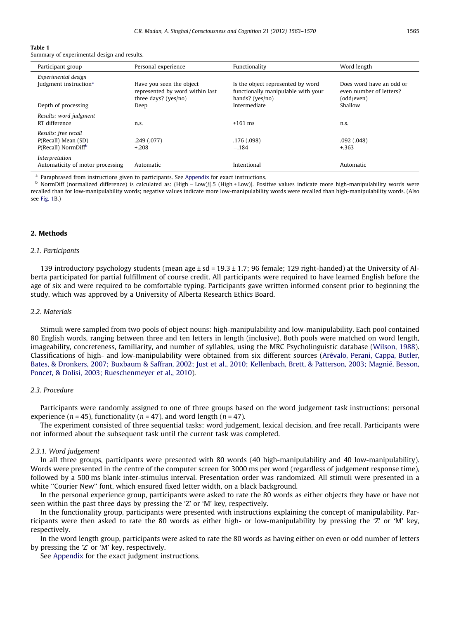<span id="page-2-0"></span>

|--|

Summary of experimental design and results.

| Participant group                                                                | Personal experience                                                                 | Functionality                                                                                | Word length                                                       |
|----------------------------------------------------------------------------------|-------------------------------------------------------------------------------------|----------------------------------------------------------------------------------------------|-------------------------------------------------------------------|
| Experimental design                                                              |                                                                                     |                                                                                              |                                                                   |
| Judgment instruction <sup>a</sup>                                                | Have you seen the object<br>represented by word within last<br>three days? (yes/no) | Is the object represented by word<br>functionally manipulable with your<br>hands? $(yes/no)$ | Does word have an odd or<br>even number of letters?<br>(odd/even) |
| Depth of processing                                                              | Deep                                                                                | Intermediate                                                                                 | Shallow                                                           |
| Results: word judgment<br>RT difference                                          | n.s.                                                                                | $+161$ ms                                                                                    | n.s.                                                              |
| Results: free recall<br>P(Recall) Mean (SD)<br>$P(Recall)$ NormDiff <sup>b</sup> | .249(.077)<br>$+208$                                                                | .176(.098)<br>$-.184$                                                                        | .092(.048)<br>$+363$                                              |
| Interpretation<br>Automaticity of motor processing                               | Automatic                                                                           | Intentional                                                                                  | Automatic                                                         |

<sup>a</sup> Paraphrased from instructions given to participants. See Appendix for exact instructions.

 $^{\rm b}$  NormDiff (normalized difference) is calculated as: (High – Low)/[.5 (High+Low)]. Positive values indicate more high-manipulability words were recalled than for low-manipulability words; negative values indicate more low-manipulability words were recalled than high-manipulability words. (Also see [Fig. 1](#page-4-0)B.)

#### 2. Methods

#### 2.1. Participants

139 introductory psychology students (mean age ± sd = 19.3 ± 1.7; 96 female; 129 right-handed) at the University of Alberta participated for partial fulfillment of course credit. All participants were required to have learned English before the age of six and were required to be comfortable typing. Participants gave written informed consent prior to beginning the study, which was approved by a University of Alberta Research Ethics Board.

#### 2.2. Materials

Stimuli were sampled from two pools of object nouns: high-manipulability and low-manipulability. Each pool contained 80 English words, ranging between three and ten letters in length (inclusive). Both pools were matched on word length, imageability, concreteness, familiarity, and number of syllables, using the MRC Psycholinguistic database ([Wilson, 1988](#page-7-0)). Classifications of high- and low-manipulability were obtained from six different sources ([Arévalo, Perani, Cappa, Butler,](#page-6-0) [Bates, & Dronkers, 2007; Buxbaum & Saffran, 2002; Just et al., 2010; Kellenbach, Brett, & Patterson, 2003; Magnié, Besson,](#page-6-0) [Poncet, & Dolisi, 2003; Rueschenmeyer et al., 2010](#page-6-0)).

#### 2.3. Procedure

Participants were randomly assigned to one of three groups based on the word judgement task instructions: personal experience ( $n = 45$ ), functionality ( $n = 47$ ), and word length ( $n = 47$ ).

The experiment consisted of three sequential tasks: word judgement, lexical decision, and free recall. Participants were not informed about the subsequent task until the current task was completed.

#### 2.3.1. Word judgement

In all three groups, participants were presented with 80 words (40 high-manipulability and 40 low-manipulability). Words were presented in the centre of the computer screen for 3000 ms per word (regardless of judgement response time), followed by a 500 ms blank inter-stimulus interval. Presentation order was randomized. All stimuli were presented in a white "Courier New" font, which ensured fixed letter width, on a black background.

In the personal experience group, participants were asked to rate the 80 words as either objects they have or have not seen within the past three days by pressing the 'Z' or 'M' key, respectively.

In the functionality group, participants were presented with instructions explaining the concept of manipulability. Participants were then asked to rate the 80 words as either high- or low-manipulability by pressing the 'Z' or 'M' key, respectively.

In the word length group, participants were asked to rate the 80 words as having either on even or odd number of letters by pressing the 'Z' or 'M' key, respectively.

See Appendix for the exact judgment instructions.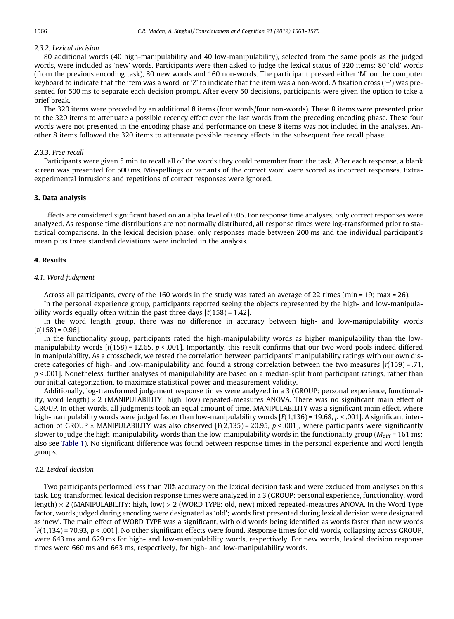# 2.3.2. Lexical decision

80 additional words (40 high-manipulability and 40 low-manipulability), selected from the same pools as the judged words, were included as 'new' words. Participants were then asked to judge the lexical status of 320 items: 80 'old' words (from the previous encoding task), 80 new words and 160 non-words. The participant pressed either 'M' on the computer keyboard to indicate that the item was a word, or 'Z' to indicate that the item was a non-word. A fixation cross ('+') was presented for 500 ms to separate each decision prompt. After every 50 decisions, participants were given the option to take a brief break.

The 320 items were preceded by an additional 8 items (four words/four non-words). These 8 items were presented prior to the 320 items to attenuate a possible recency effect over the last words from the preceding encoding phase. These four words were not presented in the encoding phase and performance on these 8 items was not included in the analyses. Another 8 items followed the 320 items to attenuate possible recency effects in the subsequent free recall phase.

#### 2.3.3. Free recall

Participants were given 5 min to recall all of the words they could remember from the task. After each response, a blank screen was presented for 500 ms. Misspellings or variants of the correct word were scored as incorrect responses. Extraexperimental intrusions and repetitions of correct responses were ignored.

#### 3. Data analysis

Effects are considered significant based on an alpha level of 0.05. For response time analyses, only correct responses were analyzed. As response time distributions are not normally distributed, all response times were log-transformed prior to statistical comparisons. In the lexical decision phase, only responses made between 200 ms and the individual participant's mean plus three standard deviations were included in the analysis.

#### 4. Results

#### 4.1. Word judgment

Across all participants, every of the 160 words in the study was rated an average of 22 times (min = 19; max = 26). In the personal experience group, participants reported seeing the objects represented by the high- and low-manipulability words equally often within the past three days  $[t(158) = 1.42]$ .

In the word length group, there was no difference in accuracy between high- and low-manipulability words  $[t(158) = 0.96]$ .

In the functionality group, participants rated the high-manipulability words as higher manipulability than the lowmanipulability words  $[t(158) = 12.65, p < .001]$ . Importantly, this result confirms that our two word pools indeed differed in manipulability. As a crosscheck, we tested the correlation between participants' manipulability ratings with our own discrete categories of high- and low-manipulability and found a strong correlation between the two measures  $[r(159) = .71]$ ,  $p$  < .001]. Nonetheless, further analyses of manipulability are based on a median-split from participant ratings, rather than our initial categorization, to maximize statistical power and measurement validity.

Additionally, log-transformed judgement response times were analyzed in a 3 (GROUP: personal experience, functionality, word length)  $\times$  2 (MANIPULABILITY: high, low) repeated-measures ANOVA. There was no significant main effect of GROUP. In other words, all judgments took an equal amount of time. MANIPULABILITY was a significant main effect, where high-manipulability words were judged faster than low-manipulability words  $[F(1,136) = 19.68, p < .001]$ . A significant interaction of GROUP  $\times$  MANIPULABILITY was also observed [F(2,135) = 20.95, p < .001], where participants were significantly slower to judge the high-manipulability words than the low-manipulability words in the functionality group ( $M_{\text{diff}}$  = 161 ms; also see [Table 1](#page-2-0)). No significant difference was found between response times in the personal experience and word length groups.

#### 4.2. Lexical decision

Two participants performed less than 70% accuracy on the lexical decision task and were excluded from analyses on this task. Log-transformed lexical decision response times were analyzed in a 3 (GROUP: personal experience, functionality, word length)  $\times$  2 (MANIPULABILITY: high, low)  $\times$  2 (WORD TYPE: old, new) mixed repeated-measures ANOVA. In the Word Type factor, words judged during encoding were designated as 'old'; words first presented during lexical decision were designated as 'new'. The main effect of WORD TYPE was a significant, with old words being identified as words faster than new words  $[F(1,134) = 70.93, p < .001]$ . No other significant effects were found. Response times for old words, collapsing across GROUP, were 643 ms and 629 ms for high- and low-manipulability words, respectively. For new words, lexical decision response times were 660 ms and 663 ms, respectively, for high- and low-manipulability words.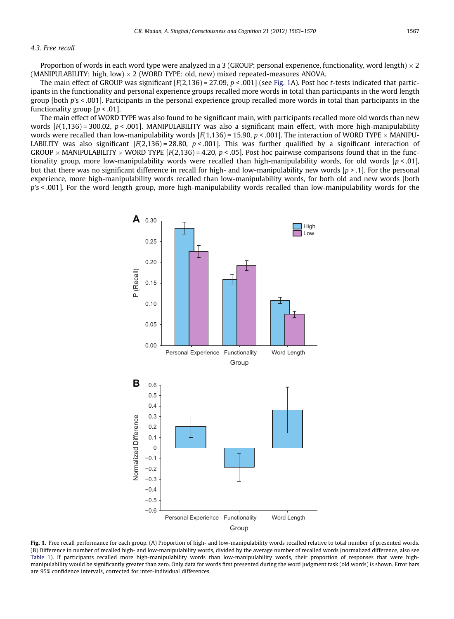# <span id="page-4-0"></span>4.3. Free recall

Proportion of words in each word type were analyzed in a 3 (GROUP: personal experience, functionality, word length)  $\times$  2 (MANIPULABILITY: high, low)  $\times$  2 (WORD TYPE: old, new) mixed repeated-measures ANOVA.

The main effect of GROUP was significant  $[F(2,136) = 27.09, p < .001]$  (see Fig. 1A). Post hoc t-tests indicated that participants in the functionality and personal experience groups recalled more words in total than participants in the word length group [both p's < .001]. Participants in the personal experience group recalled more words in total than participants in the functionality group  $[p < .01]$ .

The main effect of WORD TYPE was also found to be significant main, with participants recalled more old words than new words  $[F(1,136) = 300.02, p < .001]$ . MANIPULABILITY was also a significant main effect, with more high-manipulability words were recalled than low-manipulability words  $[F(1,136) = 15.90, p < .001]$ . The interaction of WORD TYPE  $\times$  MANIPU-LABILITY was also significant  $[F(2,136) = 28.80, p < .001]$ . This was further qualified by a significant interaction of GROUP  $\times$  MANIPULABILITY  $\times$  WORD TYPE [F(2,136) = 4.20, p < .05]. Post hoc pairwise comparisons found that in the functionality group, more low-manipulability words were recalled than high-manipulability words, for old words  $[p < .01]$ , but that there was no significant difference in recall for high- and low-manipulability new words  $[p \ge 1]$ . For the personal experience, more high-manipulability words recalled than low-manipulability words, for both old and new words [both p's < .001]. For the word length group, more high-manipulability words recalled than low-manipulability words for the



Fig. 1. Free recall performance for each group. (A) Proportion of high- and low-manipulability words recalled relative to total number of presented words. (B) Difference in number of recalled high- and low-manipulability words, divided by the average number of recalled words (normalized difference, also see [Table 1\)](#page-2-0). If participants recalled more high-manipulability words than low-manipulability words, their proportion of responses that were highmanipulability would be significantly greater than zero. Only data for words first presented during the word judgment task (old words) is shown. Error bars are 95% confidence intervals, corrected for inter-individual differences.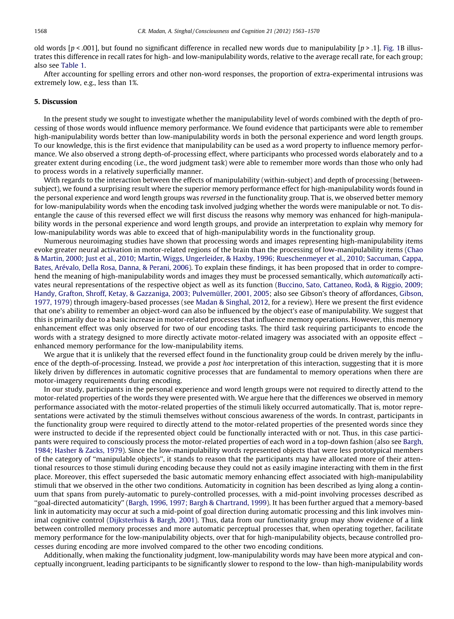old words  $[p < .001]$ , but found no significant difference in recalled new words due to manipulability  $[p > .1]$ . [Fig. 1](#page-4-0)B illustrates this difference in recall rates for high- and low-manipulability words, relative to the average recall rate, for each group; also see [Table 1](#page-2-0).

After accounting for spelling errors and other non-word responses, the proportion of extra-experimental intrusions was extremely low, e.g., less than 1%.

#### 5. Discussion

In the present study we sought to investigate whether the manipulability level of words combined with the depth of processing of those words would influence memory performance. We found evidence that participants were able to remember high-manipulability words better than low-manipulability words in both the personal experience and word length groups. To our knowledge, this is the first evidence that manipulability can be used as a word property to influence memory performance. We also observed a strong depth-of-processing effect, where participants who processed words elaborately and to a greater extent during encoding (i.e., the word judgment task) were able to remember more words than those who only had to process words in a relatively superficially manner.

With regards to the interaction between the effects of manipulability (within-subject) and depth of processing (betweensubject), we found a surprising result where the superior memory performance effect for high-manipulability words found in the personal experience and word length groups was reversed in the functionality group. That is, we observed better memory for low-manipulability words when the encoding task involved judging whether the words were manipulable or not. To disentangle the cause of this reversed effect we will first discuss the reasons why memory was enhanced for high-manipulability words in the personal experience and word length groups, and provide an interpretation to explain why memory for low-manipulability words was able to exceed that of high-manipulability words in the functionality group.

Numerous neuroimaging studies have shown that processing words and images representing high-manipulability items evoke greater neural activation in motor-related regions of the brain than the processing of low-manipulability items ([Chao](#page-7-0) [& Martin, 2000; Just et al., 2010; Martin, Wiggs, Ungerleider, & Haxby, 1996; Rueschenmeyer et al., 2010; Saccuman, Cappa,](#page-7-0) [Bates, Arévalo, Della Rosa, Danna, & Perani, 2006](#page-7-0)). To explain these findings, it has been proposed that in order to comprehend the meaning of high-manipulability words and images they must be processed semantically, which automatically activates neural representations of the respective object as well as its function [\(Buccino, Sato, Cattaneo, Rodà, & Riggio, 2009;](#page-7-0) [Handy, Grafton, Shroff, Ketay, & Gazzaniga, 2003; Pulvemüller, 2001, 2005](#page-7-0); also see Gibson's theory of affordances, [Gibson,](#page-7-0) [1977, 1979](#page-7-0)) through imagery-based processes (see Madan & Singhal, 2012, for a review). Here we present the first evidence that one's ability to remember an object-word can also be influenced by the object's ease of manipulability. We suggest that this is primarily due to a basic increase in motor-related processes that influence memory operations. However, this memory enhancement effect was only observed for two of our encoding tasks. The third task requiring participants to encode the words with a strategy designed to more directly activate motor-related imagery was associated with an opposite effect – enhanced memory performance for the low-manipulability items.

We argue that it is unlikely that the reversed effect found in the functionality group could be driven merely by the influence of the depth-of-processing. Instead, we provide a post hoc interpretation of this interaction, suggesting that it is more likely driven by differences in automatic cognitive processes that are fundamental to memory operations when there are motor-imagery requirements during encoding.

In our study, participants in the personal experience and word length groups were not required to directly attend to the motor-related properties of the words they were presented with. We argue here that the differences we observed in memory performance associated with the motor-related properties of the stimuli likely occurred automatically. That is, motor representations were activated by the stimuli themselves without conscious awareness of the words. In contrast, participants in the functionality group were required to directly attend to the motor-related properties of the presented words since they were instructed to decide if the represented object could be functionally interacted with or not. Thus, in this case participants were required to consciously process the motor-related properties of each word in a top-down fashion (also see [Bargh,](#page-6-0) [1984; Hasher & Zacks, 1979\)](#page-6-0). Since the low-manipulability words represented objects that were less prototypical members of the category of ''manipulable objects'', it stands to reason that the participants may have allocated more of their attentional resources to those stimuli during encoding because they could not as easily imagine interacting with them in the first place. Moreover, this effect superseded the basic automatic memory enhancing effect associated with high-manipulability stimuli that we observed in the other two conditions. Automaticity in cognition has been described as lying along a continuum that spans from purely-automatic to purely-controlled processes, with a mid-point involving processes described as ''goal-directed automaticity'' [\(Bargh, 1996, 1997; Bargh & Chartrand, 1999\)](#page-6-0). It has been further argued that a memory-based link in automaticity may occur at such a mid-point of goal direction during automatic processing and this link involves minimal cognitive control [\(Dijksterhuis & Bargh, 2001\)](#page-7-0). Thus, data from our functionality group may show evidence of a link between controlled memory processes and more automatic perceptual processes that, when operating together, facilitate memory performance for the low-manipulability objects, over that for high-manipulability objects, because controlled processes during encoding are more involved compared to the other two encoding conditions.

Additionally, when making the functionality judgment, low-manipulability words may have been more atypical and conceptually incongruent, leading participants to be significantly slower to respond to the low- than high-manipulability words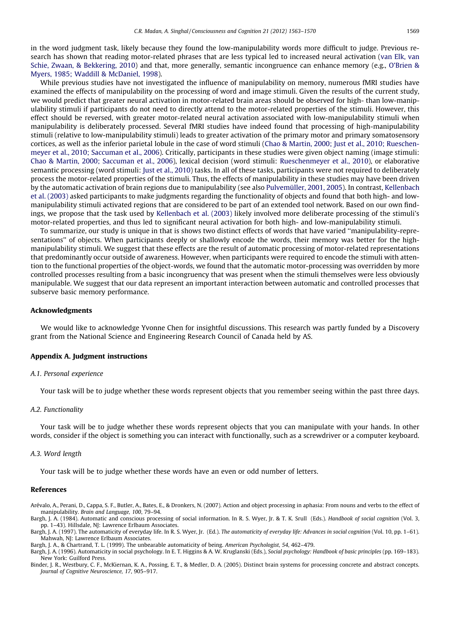<span id="page-6-0"></span>in the word judgment task, likely because they found the low-manipulability words more difficult to judge. Previous research has shown that reading motor-related phrases that are less typical led to increased neural activation ([van Elk, van](#page-7-0) [Schie, Zwaan, & Bekkering, 2010](#page-7-0)) and that, more generally, semantic incongruence can enhance memory (e.g., [O'Brien &](#page-7-0) [Myers, 1985; Waddill & McDaniel, 1998\)](#page-7-0).

While previous studies have not investigated the influence of manipulability on memory, numerous fMRI studies have examined the effects of manipulability on the processing of word and image stimuli. Given the results of the current study, we would predict that greater neural activation in motor-related brain areas should be observed for high- than low-manipulability stimuli if participants do not need to directly attend to the motor-related properties of the stimuli. However, this effect should be reversed, with greater motor-related neural activation associated with low-manipulability stimuli when manipulability is deliberately processed. Several fMRI studies have indeed found that processing of high-manipulability stimuli (relative to low-manipulability stimuli) leads to greater activation of the primary motor and primary somatosensory cortices, as well as the inferior parietal lobule in the case of word stimuli ([Chao & Martin, 2000; Just et al., 2010; Rueschen](#page-7-0)[meyer et al., 2010; Saccuman et al., 2006](#page-7-0)). Critically, participants in these studies were given object naming (image stimuli: [Chao & Martin, 2000; Saccuman et al., 2006](#page-7-0)), lexical decision (word stimuli: [Rueschenmeyer et al., 2010\)](#page-7-0), or elaborative semantic processing (word stimuli: [Just et al., 2010](#page-7-0)) tasks. In all of these tasks, participants were not required to deliberately process the motor-related properties of the stimuli. Thus, the effects of manipulability in these studies may have been driven by the automatic activation of brain regions due to manipulability (see also [Pulvemüller, 2001, 2005\)](#page-7-0). In contrast, [Kellenbach](#page-7-0) [et al. \(2003\)](#page-7-0) asked participants to make judgments regarding the functionality of objects and found that both high- and lowmanipulability stimuli activated regions that are considered to be part of an extended tool network. Based on our own findings, we propose that the task used by [Kellenbach et al. \(2003\)](#page-7-0) likely involved more deliberate processing of the stimuli's motor-related properties, and thus led to significant neural activation for both high- and low-manipulability stimuli.

To summarize, our study is unique in that is shows two distinct effects of words that have varied ''manipulability-representations'' of objects. When participants deeply or shallowly encode the words, their memory was better for the highmanipulability stimuli. We suggest that these effects are the result of automatic processing of motor-related representations that predominantly occur outside of awareness. However, when participants were required to encode the stimuli with attention to the functional properties of the object-words, we found that the automatic motor-processing was overridden by more controlled processes resulting from a basic incongruency that was present when the stimuli themselves were less obviously manipulable. We suggest that our data represent an important interaction between automatic and controlled processes that subserve basic memory performance.

#### Acknowledgments

We would like to acknowledge Yvonne Chen for insightful discussions. This research was partly funded by a Discovery grant from the National Science and Engineering Research Council of Canada held by AS.

#### Appendix A. Judgment instructions

#### A.1. Personal experience

Your task will be to judge whether these words represent objects that you remember seeing within the past three days.

#### A.2. Functionality

Your task will be to judge whether these words represent objects that you can manipulate with your hands. In other words, consider if the object is something you can interact with functionally, such as a screwdriver or a computer keyboard.

#### A.3. Word length

Your task will be to judge whether these words have an even or odd number of letters.

#### References

Arévalo, A., Perani, D., Cappa, S. F., Butler, A., Bates, E., & Dronkers, N. (2007). Action and object processing in aphasia: From nouns and verbs to the effect of manipulability. Brain and Language, 100, 79–94.

Bargh, J. A., & Chartrand, T. L. (1999). The unbearable automaticity of being. American Psychologist, 54, 462–479.

Bargh, J. A. (1996). Automaticity in social psychology. In E. T. Higgins & A. W. Kruglanski (Eds.), Social psychology: Handbook of basic principles (pp. 169–183). New York: Guilford Press.

Binder, J. R., Westbury, C. F., McKiernan, K. A., Possing, E. T., & Medler, D. A. (2005). Distinct brain systems for processing concrete and abstract concepts. Journal of Cognitive Neuroscience, 17, 905–917.

Bargh, J. A. (1984). Automatic and conscious processing of social information. In R. S. Wyer, Jr. & T. K. Srull (Eds.). Handbook of social cognition (Vol. 3, pp. 1–43). Hillsdale, NJ: Lawrence Erlbaum Associates.

Bargh, J. A. (1997). The automaticity of everyday life. In R. S. Wyer, Jr. (Ed.). The automaticity of everyday life: Advances in social cognition (Vol. 10, pp. 1-61). Mahwah, NJ: Lawrence Erlbaum Associates.